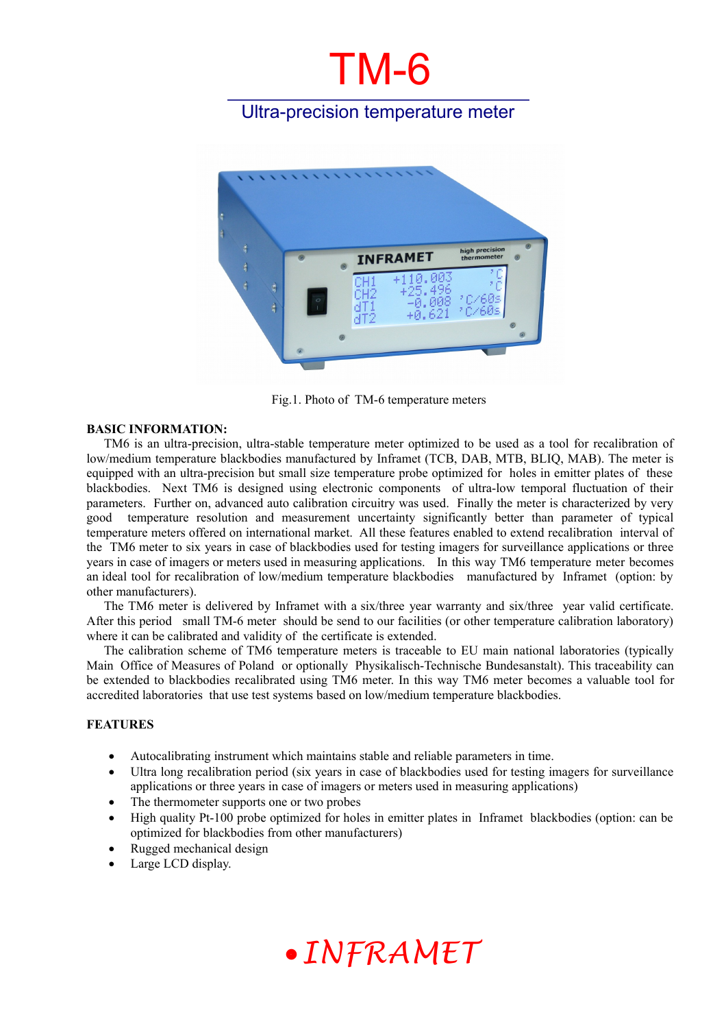# TM-6

### Ultra-precision temperature meter



Fig.1. Photo of TM-6 temperature meters

#### **BASIC INFORMATION:**

TM6 is an ultra-precision, ultra-stable temperature meter optimized to be used as a tool for recalibration of low/medium temperature blackbodies manufactured by Inframet (TCB, DAB, MTB, BLIQ, MAB). The meter is equipped with an ultra-precision but small size temperature probe optimized for holes in emitter plates of these blackbodies. Next TM6 is designed using electronic components of ultra-low temporal fluctuation of their parameters. Further on, advanced auto calibration circuitry was used. Finally the meter is characterized by very good temperature resolution and measurement uncertainty significantly better than parameter of typical temperature meters offered on international market. All these features enabled to extend recalibration interval of the TM6 meter to six years in case of blackbodies used for testing imagers for surveillance applications or three years in case of imagers or meters used in measuring applications. In this way TM6 temperature meter becomes an ideal tool for recalibration of low/medium temperature blackbodies manufactured by Inframet (option: by other manufacturers).

The TM6 meter is delivered by Inframet with a six/three year warranty and six/three year valid certificate. After this period small TM-6 meter should be send to our facilities (or other temperature calibration laboratory) where it can be calibrated and validity of the certificate is extended.

The calibration scheme of TM6 temperature meters is traceable to EU main national laboratories (typically Main Office of Measures of Poland or optionally Physikalisch-Technische Bundesanstalt). This traceability can be extended to blackbodies recalibrated using TM6 meter. In this way TM6 meter becomes a valuable tool for accredited laboratories that use test systems based on low/medium temperature blackbodies.

#### **FEATURES**

- Autocalibrating instrument which maintains stable and reliable parameters in time.
- Ultra long recalibration period (six years in case of blackbodies used for testing imagers for surveillance applications or three years in case of imagers or meters used in measuring applications)
- The thermometer supports one or two probes
- High quality Pt-100 probe optimized for holes in emitter plates in Inframet blackbodies (option: can be optimized for blackbodies from other manufacturers)
- Rugged mechanical design
- Large LCD display.